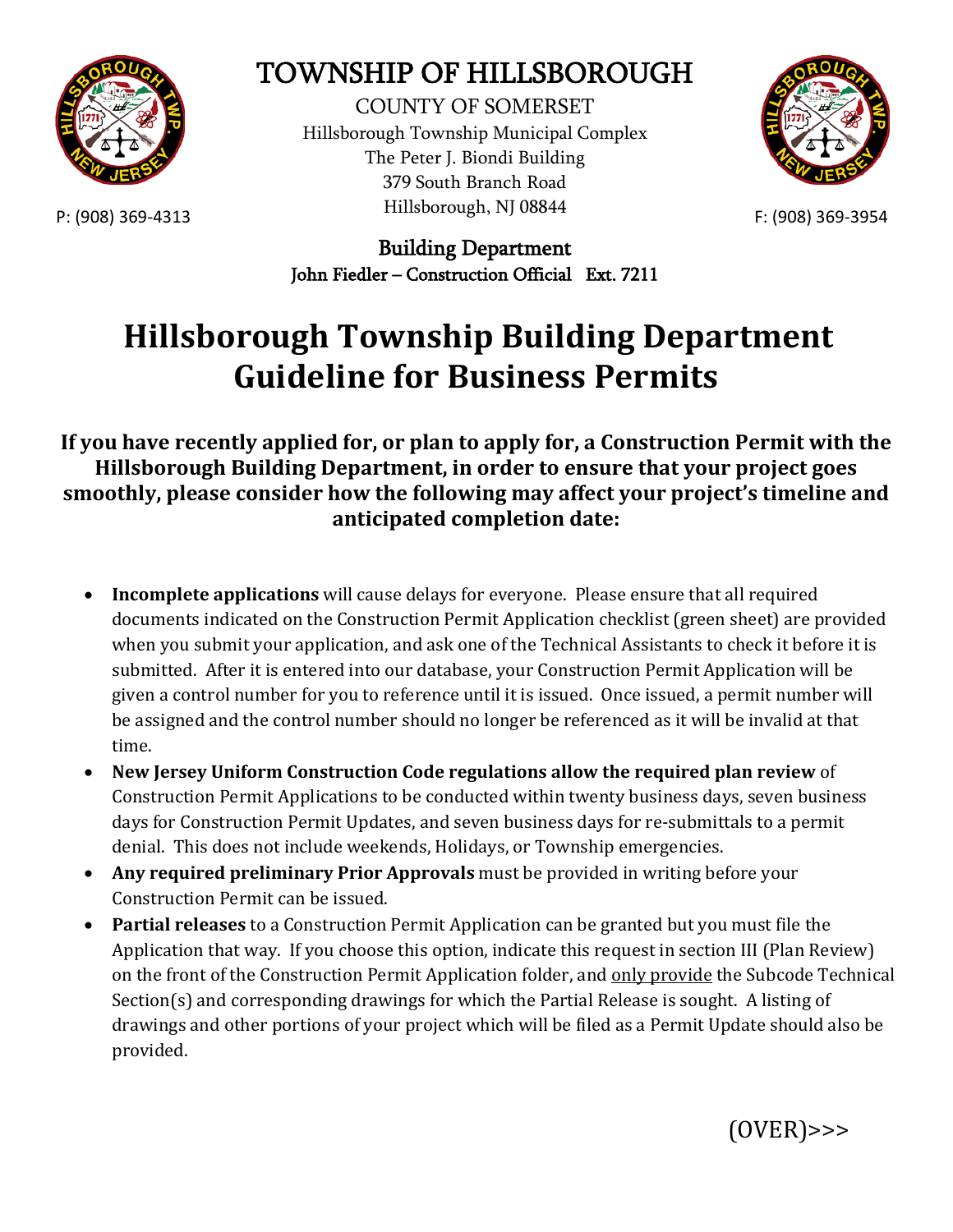

## TOWNSHIP OF HILLSBOROUGH

P: (908) 369-4313 **Examples** F: (908) 369-3954 COUNTY OF SOMERSET Hillsborough Township Municipal Complex The Peter J. Biondi Building 379 South Branch Road Hillsborough, NJ 08844



Building Department John Fiedler – Construction Official Ext. 7211

## **Hillsborough Township Building Department Guideline for Business Permits**

**If you have recently applied for, or plan to apply for, a Construction Permit with the Hillsborough Building Department, in order to ensure that your project goes smoothly, please consider how the following may affect your project's timeline and anticipated completion date:**

- **Incomplete applications** will cause delays for everyone. Please ensure that all required documents indicated on the Construction Permit Application checklist (green sheet) are provided when you submit your application, and ask one of the Technical Assistants to check it before it is submitted. After it is entered into our database, your Construction Permit Application will be given a control number for you to reference until it is issued. Once issued, a permit number will be assigned and the control number should no longer be referenced as it will be invalid at that time.
- **New Jersey Uniform Construction Code regulations allow the required plan review** of Construction Permit Applications to be conducted within twenty business days, seven business days for Construction Permit Updates, and seven business days for re-submittals to a permit denial. This does not include weekends, Holidays, or Township emergencies.
- **Any required preliminary Prior Approvals** must be provided in writing before your Construction Permit can be issued.
- **Partial releases** to a Construction Permit Application can be granted but you must file the Application that way. If you choose this option, indicate this request in section III (Plan Review) on the front of the Construction Permit Application folder, and only provide the Subcode Technical Section(s) and corresponding drawings for which the Partial Release is sought. A listing of drawings and other portions of your project which will be filed as a Permit Update should also be provided.

(OVER)>>>